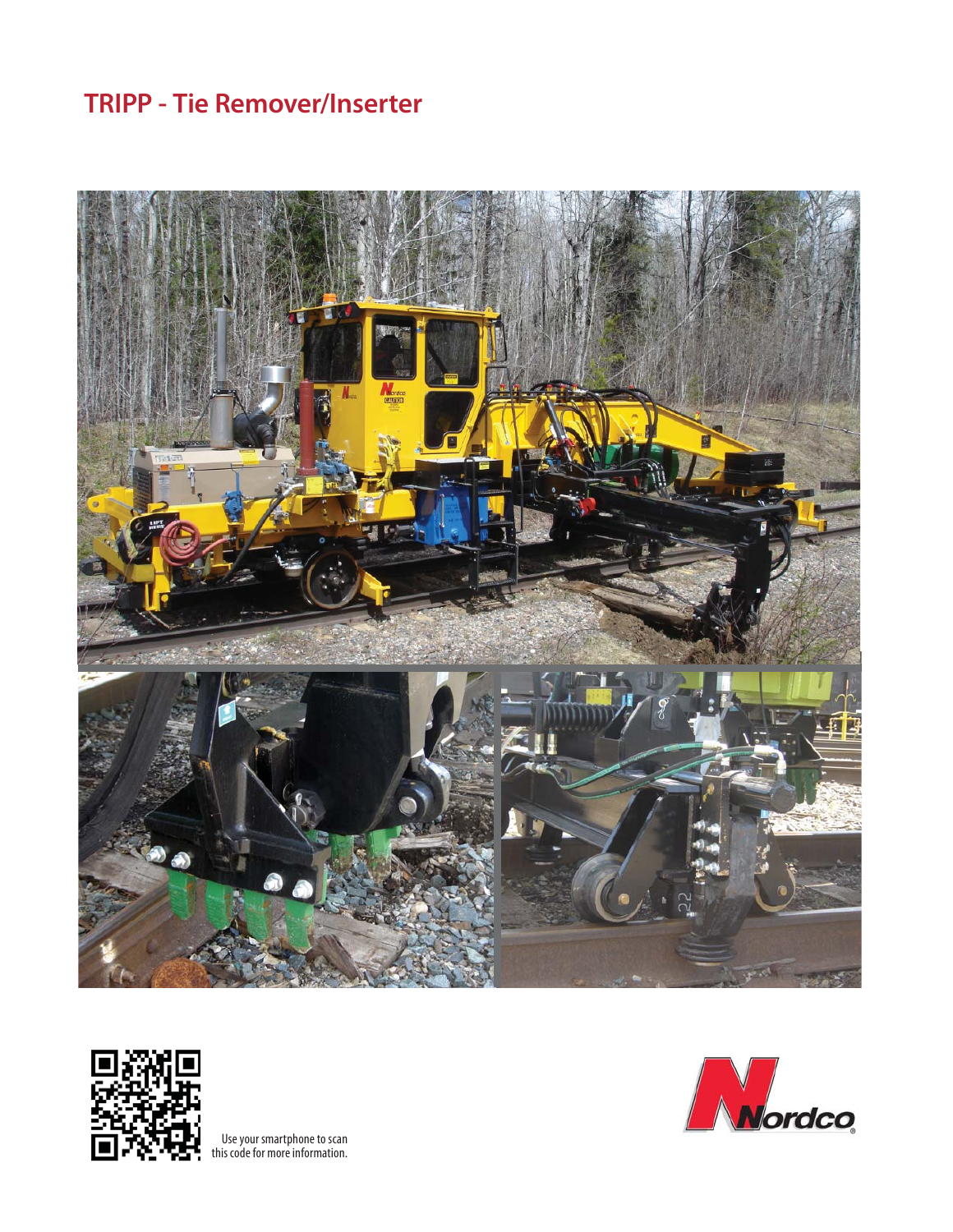# **TRIPP - Tie Remover/Inserter**





Use your smartphone to scan this code for more information.

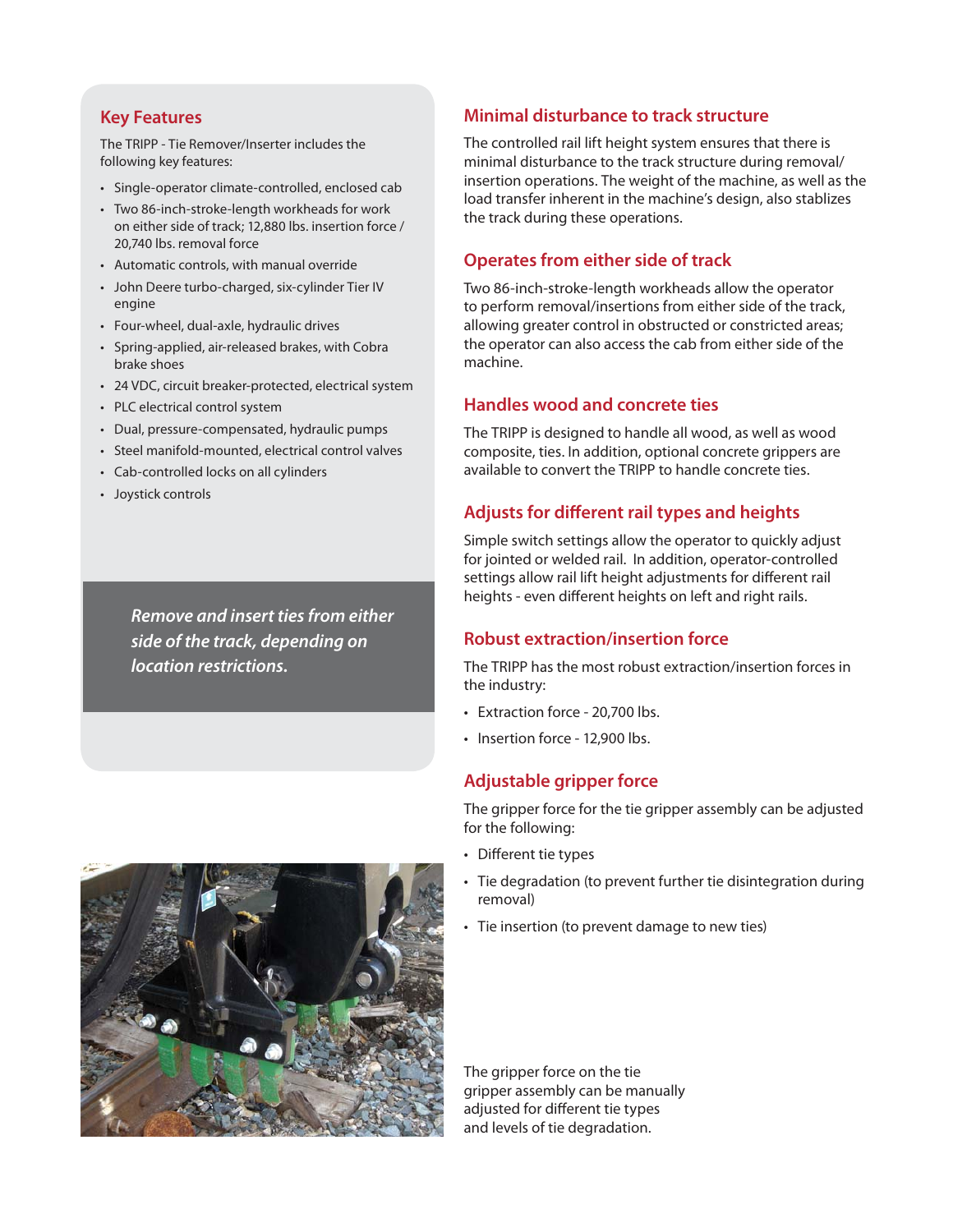#### **Key Features**

The TRIPP - Tie Remover/Inserter includes the following key features:

- Single-operator climate-controlled, enclosed cab
- Two 86-inch-stroke-length workheads for work on either side of track; 12,880 lbs. insertion force / 20,740 lbs. removal force
- Automatic controls, with manual override
- John Deere turbo-charged, six-cylinder Tier IV engine
- Four-wheel, dual-axle, hydraulic drives
- Spring-applied, air-released brakes, with Cobra brake shoes
- 24 VDC, circuit breaker-protected, electrical system
- PLC electrical control system
- Dual, pressure-compensated, hydraulic pumps
- Steel manifold-mounted, electrical control valves
- Cab-controlled locks on all cylinders
- Joystick controls

*Remove and insert ties from either side of the track, depending on location restrictions.*

#### **Minimal disturbance to track structure**

The controlled rail lift height system ensures that there is minimal disturbance to the track structure during removal/ insertion operations. The weight of the machine, as well as the load transfer inherent in the machine's design, also stablizes the track during these operations.

#### **Operates from either side of track**

Two 86-inch-stroke-length workheads allow the operator to perform removal/insertions from either side of the track, allowing greater control in obstructed or constricted areas; the operator can also access the cab from either side of the machine.

#### **Handles wood and concrete ties**

The TRIPP is designed to handle all wood, as well as wood composite, ties. In addition, optional concrete grippers are available to convert the TRIPP to handle concrete ties.

#### **Adjusts for different rail types and heights**

Simple switch settings allow the operator to quickly adjust for jointed or welded rail. In addition, operator-controlled settings allow rail lift height adjustments for different rail heights - even different heights on left and right rails.

#### **Robust extraction/insertion force**

The TRIPP has the most robust extraction/insertion forces in the industry:

- Extraction force 20,700 lbs.
- Insertion force 12,900 lbs.

#### **Adjustable gripper force**

The gripper force for the tie gripper assembly can be adjusted for the following:

- Different tie types
- Tie degradation (to prevent further tie disintegration during removal)
- Tie insertion (to prevent damage to new ties)

The gripper force on the tie gripper assembly can be manually adjusted for different tie types and levels of tie degradation.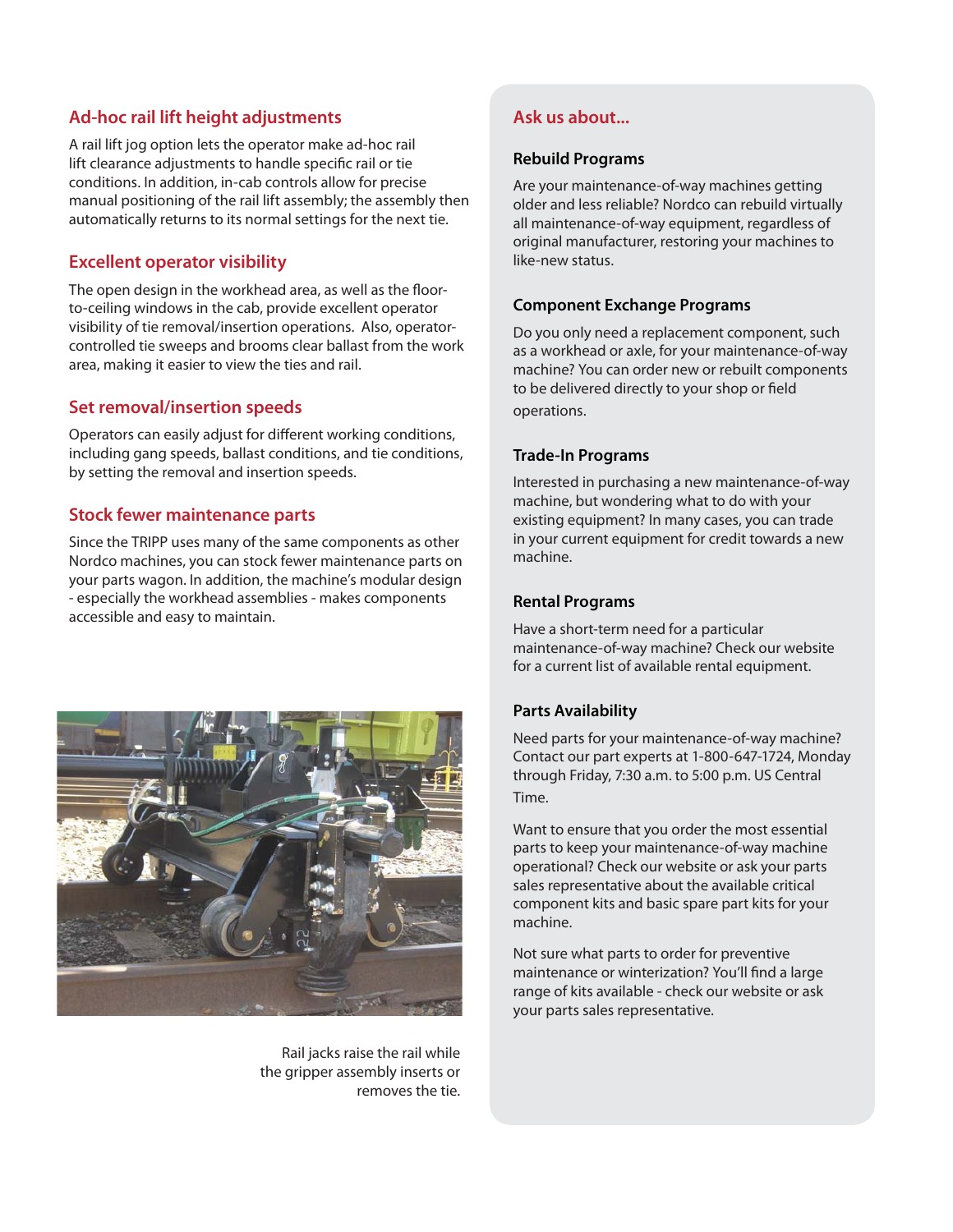### **Ad-hoc rail lift height adjustments**

automatically returns to its normal settings for the next tie. A rail lift jog option lets the operator make ad-hoc rail lift clearance adjustments to handle specific rail or tie conditions. In addition, in-cab controls allow for precise manual positioning of the rail lift assembly; the assembly then

# **Excellent operator visibility**

The open design in the workhead area, as well as the floorto-ceiling windows in the cab, provide excellent operator visibility of tie removal/insertion operations. Also, operatorcontrolled tie sweeps and brooms clear ballast from the work area, making it easier to view the ties and rail.

#### **Set removal/insertion speeds**

Operators can easily adjust for different working conditions, including gang speeds, ballast conditions, and tie conditions, by setting the removal and insertion speeds.

#### **Stock fewer maintenance parts**

Since the TRIPP uses many of the same components as other Nordco machines, you can stock fewer maintenance parts on your parts wagon. In addition, the machine's modular design - especially the workhead assemblies - makes components accessible and easy to maintain.



Rail jacks raise the rail while the gripper assembly inserts or removes the tie.

## **Ask us about...**

#### **Rebuild Programs**

Are your maintenance-of-way machines getting older and less reliable? Nordco can rebuild virtually all maintenance-of-way equipment, regardless of original manufacturer, restoring your machines to like-new status.

#### **Component Exchange Programs**

Do you only need a replacement component, such as a workhead or axle, for your maintenance-of-way machine? You can order new or rebuilt components to be delivered directly to your shop or field operations.

#### **Trade-In Programs**

Interested in purchasing a new maintenance-of-way machine, but wondering what to do with your existing equipment? In many cases, you can trade in your current equipment for credit towards a new machine.

#### **Rental Programs**

Have a short-term need for a particular maintenance-of-way machine? Check our website for a current list of available rental equipment.

#### **Parts Availability**

Need parts for your maintenance-of-way machine? Contact our part experts at 1-800-647-1724, Monday through Friday, 7:30 a.m. to 5:00 p.m. US Central Time.

Want to ensure that you order the most essential parts to keep your maintenance-of-way machine operational? Check our website or ask your parts sales representative about the available critical component kits and basic spare part kits for your machine.

Not sure what parts to order for preventive maintenance or winterization? You'll find a large range of kits available - check our website or ask your parts sales representative.